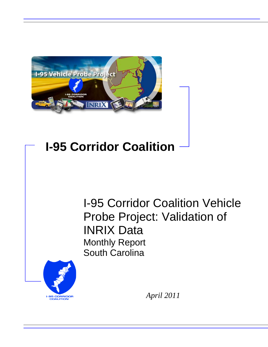

# **I-95 Corridor Coalition**

I-95 Corridor Coalition Vehicle Probe Project: Validation of INRIX Data Monthly Report South Carolina



*April 2011*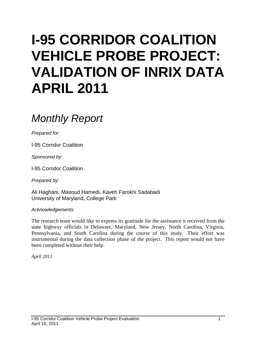# **I-95 CORRIDOR COALITION VEHICLE PROBE PROJECT: VALIDATION OF INRIX DATA APRIL 2011**

# *Monthly Report*

*Prepared for:*

I-95 Corridor Coalition

*Sponsored by:*

I-95 Corridor Coalition

*Prepared by:*

Ali Haghani, Masoud Hamedi, Kaveh Farokhi Sadabadi University of Maryland, College Park

*Acknowledgements:*

The research team would like to express its gratitude for the assistance it received from the state highway officials in Delaware, Maryland, New Jersey, North Carolina, Virginia, Pennsylvania, and South Carolina during the course of this study. Their effort was instrumental during the data collection phase of the project. This report would not have been completed without their help.

*April 2011*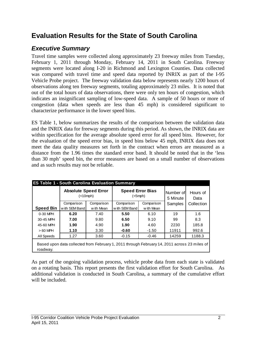# **Evaluation Results for the State of South Carolina**

### *Executive Summary*

Travel time samples were collected along approximately 23 freeway miles from Tuesday, February 1, 2011 through Monday, February 14, 2011 in South Carolina. Freeway segments were located along I-20 in Richmond and Lexington Counties. Data collected was compared with travel time and speed data reported by INRIX as part of the I-95 Vehicle Probe project. The freeway validation data below represents nearly 1200 hours of observations along ten freeway segments, totaling approximately 23 miles. It is noted that out of the total hours of data observations, there were only ten hours of congestion, which indicates an insignificant sampling of low-speed data. A sample of 50 hours or more of congestion (data when speeds are less than 45 mph) is considered significant to characterize performance in the lower speed bins.

ES Table 1, below summarizes the results of the comparison between the validation data and the INRIX data for freeway segments during this period. As shown, the INRIX data are within specification for the average absolute speed error for all speed bins. However, for the evaluation of the speed error bias, in speed bins below 45 mph, INRIX data does not meet the data quality measures set forth in the contract when errors are measured as a distance from the 1.96 times the standard error band. It should be noted that in the 'less than 30 mph' speed bin, the error measures are based on a small number of observations and as such results may not be reliable.

|                  | <b>Absolute Speed Error</b><br>(<10 mph)                                                     |            | <b>Speed Error Bias</b><br>$(<5$ mph $)$ |            | Number of<br>5 Minute | Hours of<br>Data |  |  |  |  |
|------------------|----------------------------------------------------------------------------------------------|------------|------------------------------------------|------------|-----------------------|------------------|--|--|--|--|
|                  | Comparison                                                                                   | Comparison | Comparison                               | Comparison | Samples               | Collection       |  |  |  |  |
| <b>Speed Bin</b> | with SEM Band                                                                                | w ith Mean | w ith SEM Band                           | w ith Mean |                       |                  |  |  |  |  |
| 0-30 MPH         | 6.20                                                                                         | 7.40       | 5.50                                     | 6.10       | 19                    | 1.6              |  |  |  |  |
| 30-45 MPH        | 7.00                                                                                         | 9.80       | 6.50                                     | 9.10       | 99                    | 8.3              |  |  |  |  |
| 45-60 MPH        | 1.90                                                                                         | 4.90       | 1.90                                     | 4.60       | 2230                  | 185.8            |  |  |  |  |
| $>60$ MPH        | 1.10                                                                                         | 3.30       | $-0.60$                                  | $-1.50$    | 11911                 | 992.6            |  |  |  |  |
| All Speeds       | 1.27                                                                                         | 3.60       | $-0.15$                                  | $-0.46$    | 14259                 | 1188.3           |  |  |  |  |
| roadway.         | Based upon data collected from February 1, 2011 through February 14, 2011 across 23 miles of |            |                                          |            |                       |                  |  |  |  |  |

As part of the ongoing validation process, vehicle probe data from each state is validated on a rotating basis. This report presents the first validation effort for South Carolina. As additional validation is conducted in South Carolina, a summary of the cumulative effort will be included.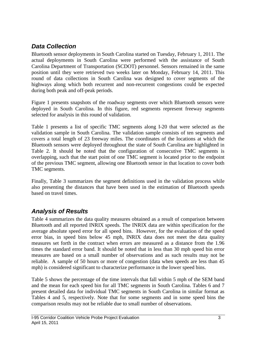## *Data Collection*

Bluetooth sensor deployments in South Carolina started on Tuesday, February 1, 2011. The actual deployments in South Carolina were performed with the assistance of South Carolina Department of Transportation (SCDOT) personnel. Sensors remained in the same position until they were retrieved two weeks later on Monday, February 14, 2011. This round of data collections in South Carolina was designed to cover segments of the highways along which both recurrent and non-recurrent congestions could be expected during both peak and off-peak periods.

Figure 1 presents snapshots of the roadway segments over which Bluetooth sensors were deployed in South Carolina. In this figure, red segments represent freeway segments selected for analysis in this round of validation.

Table 1 presents a list of specific TMC segments along I-20 that were selected as the validation sample in South Carolina. The validation sample consists of ten segments and covers a total length of 23 freeway miles. The coordinates of the locations at which the Bluetooth sensors were deployed throughout the state of South Carolina are highlighted in Table 2. It should be noted that the configuration of consecutive TMC segments is overlapping, such that the start point of one TMC segment is located prior to the endpoint of the previous TMC segment, allowing one Bluetooth sensor in that location to cover both TMC segments.

Finally, Table 3 summarizes the segment definitions used in the validation process while also presenting the distances that have been used in the estimation of Bluetooth speeds based on travel times.

### *Analysis of Results*

Table 4 summarizes the data quality measures obtained as a result of comparison between Bluetooth and all reported INRIX speeds. The INRIX data are within specification for the average absolute speed error for all speed bins. However, for the evaluation of the speed error bias, in speed bins below 45 mph, INRIX data does not meet the data quality measures set forth in the contract when errors are measured as a distance from the 1.96 times the standard error band. It should be noted that in less than 30 mph speed bin error measures are based on a small number of observations and as such results may not be reliable. A sample of 50 hours or more of congestion (data when speeds are less than 45 mph) is considered significant to characterize performance in the lower speed bins.

Table 5 shows the percentage of the time intervals that fall within 5 mph of the SEM band and the mean for each speed bin for all TMC segments in South Carolina. Tables 6 and 7 present detailed data for individual TMC segments in South Carolina in similar format as Tables 4 and 5, respectively. Note that for some segments and in some speed bins the comparison results may not be reliable due to small number of observations.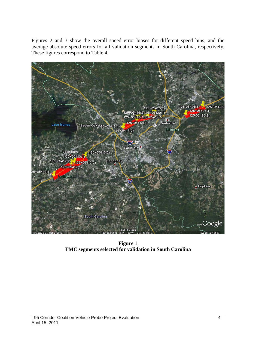Figures 2 and 3 show the overall speed error biases for different speed bins, and the average absolute speed errors for all validation segments in South Carolina, respectively. These figures correspond to Table 4.



**Figure 1 TMC segments selected for validation in South Carolina**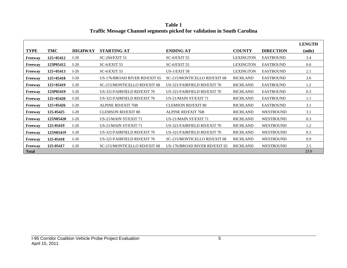|              |             |                |                               |                                     |                  |                  | <b>LENGTH</b> |
|--------------|-------------|----------------|-------------------------------|-------------------------------------|------------------|------------------|---------------|
| <b>TYPE</b>  | TMC         | <b>HIGHWAY</b> | <b>STARTING AT</b>            | <b>ENDING AT</b>                    | <b>COUNTY</b>    | <b>DIRECTION</b> | (mile)        |
| Freeway      | $125+05412$ | $I-20$         | SC-204/EXIT 51                | $SC-6/EXIT$ 55                      | <b>LEXINGTON</b> | <b>EASTBOUND</b> | 3.4           |
| Freeway      | 125P05412   | $I-20$         | $SC-6/EXIT$ 55                | $SC-6/EXIT$ 55                      | <b>LEXINGTON</b> | <b>EASTBOUND</b> | 0.6           |
| Freeway      | $125+05413$ | $I-20$         | $SC-6/EXIT$ 55                | US- $1/EXIT$ 58                     | <b>LEXINGTON</b> | <b>EASTBOUND</b> | 2.1           |
| Freeway      | $125+05418$ | $I-20$         | US-176/BROAD RIVER RD/EXIT 65 | SC-215/MONTICELLO RD/EXIT 68        | <b>RICHLAND</b>  | <b>EASTBOUND</b> | 2.6           |
| Freeway      | $125+05419$ | $I-20$         | SC-215/MONTICELLO RD/EXIT 68  | US-321/FAIRFIELD RD/EXIT 70         | <b>RICHLAND</b>  | <b>EASTBOUND</b> | 1.2           |
| Freeway      | 125P05419   | $I-20$         | US-321/FAIRFIELD RD/EXIT 70   | US-321/FAIRFIELD RD/EXIT 70         | <b>RICHLAND</b>  | <b>EASTBOUND</b> | 0.3           |
| Freeway      | $125+05420$ | $I-20$         | US-321/FAIRFIELD RD/EXIT 70   | US-21/MAIN ST/EXIT 71               | <b>RICHLAND</b>  | <b>EASTBOUND</b> | 1.1           |
| Freeway      | $125+05426$ | $I-20$         | <b>ALPINE RD/EXIT 76B</b>     | <b>CLEMSON RD/EXIT 80</b>           | <b>RICHLAND</b>  | <b>EASTBOUND</b> | 3.1           |
| Freeway      | 125-05425   | $I-20$         | <b>CLEMSON RD/EXIT 80</b>     | <b>ALPINE RD/EXIT 76B</b>           | <b>RICHLAND</b>  | <b>WESTBOUND</b> | 3.1           |
| Freeway      | 125N05420   | $I-20$         | US-21/MAIN ST/EXIT 71         | US-21/MAIN ST/EXIT 71               | <b>RICHLAND</b>  | <b>WESTBOUND</b> | 0.3           |
| Freeway      | 125-05419   | $I-20$         | US-21/MAIN ST/EXIT 71         | US-321/FAIRFIELD RD/EXIT 70         | <b>RICHLAND</b>  | <b>WESTBOUND</b> | 1.2           |
| Freeway      | 125N05419   | $I-20$         | US-321/FAIRFIELD RD/EXIT 70   | US-321/FAIRFIELD RD/EXIT 70         | <b>RICHLAND</b>  | <b>WESTBOUND</b> | 0.3           |
| Freeway      | 125-05418   | $I-20$         | US-321/FAIRFIELD RD/EXIT 70   | <b>SC-215/MONTICELLO RD/EXIT 68</b> | <b>RICHLAND</b>  | <b>WESTBOUND</b> | 0.9           |
| Freeway      | 125-05417   | $I-20$         | SC-215/MONTICELLO RD/EXIT 68  | US-176/BROAD RIVER RD/EXIT 65       | <b>RICHLAND</b>  | <b>WESTBOUND</b> | 2.5           |
| <b>Total</b> |             |                |                               |                                     |                  |                  | 23.0          |

**Table 1 Traffic Message Channel segments picked for validation in South Carolina**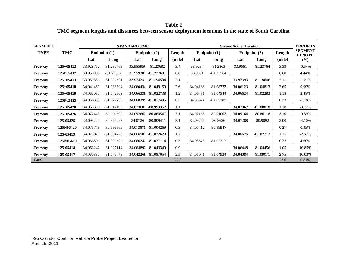**Table 2 TMC segment lengths and distances between sensor deployment locations in the state of South Carolina**

| <b>SEGMENT</b>            |             | <b>STANDARD TMC</b> |                |           |                        | <b>Sensor Actual Location</b> |                |             |                |             | <b>ERROR IN</b> |                                 |
|---------------------------|-------------|---------------------|----------------|-----------|------------------------|-------------------------------|----------------|-------------|----------------|-------------|-----------------|---------------------------------|
| <b>TYPE</b><br><b>TMC</b> |             |                     | Endpoint $(1)$ |           | Endpoint (2)<br>Length |                               | Endpoint $(1)$ |             | Endpoint $(2)$ |             | Length          | <b>SEGMENT</b><br><b>LENGTH</b> |
|                           |             | Lat                 | Long           | Lat       | Long                   | (mile)                        | Lat            | Long        | Lat            | Long        | (mile)          | (%)                             |
| Freeway                   | $125+05412$ | 33.928752           | $-81.286468$   | 33.955956 | $-81.23682$            | 3.4                           | 33.9287        | $-81.2863$  | 33.9561        | $-81.23764$ | 3.39            | $-0.54%$                        |
| Freeway                   | 125P05412   | 33.955956           | $-81.23682$    | 33.959381 | $-81.227691$           | 0.6                           | 33.9561        | $-81.23764$ |                |             | 0.60            | 4.44%                           |
| Freeway                   | $125+05413$ | 33.959381           | $-81.227691$   | 33.974231 | $-81.196594$           | 2.1                           |                |             | 33.97393       | $-81.19666$ | 2.11            | $-1.21%$                        |
| Freeway                   | $125+05418$ | 34.041469           | $-81.088604$   | 34.060434 | $-81.049159$           | 2.6                           | 34.04168       | $-81.08773$ | 34.06123       | $-81.04813$ | 2.65            | 0.99%                           |
| Freeway                   | $125+05419$ | 34.065057           | $-81.042603$   |           | 34.066339 -81.022738   | 1.2                           | 34.06451       | $-81.04344$ | 34.06624       | $-81.02283$ | 1.18            | 2.48%                           |
| Freeway                   | 125P05419   | 34.066339           | $-81.022738$   |           | 34.068395 -81.017495   | 0.3                           | 34.06624       | $-81.02283$ |                |             | 0.33            | $-1.18%$                        |
| Freeway                   | $125+05420$ | 34.068395           | $-81.017495$   |           | 34.073601 -80.999352   | 1.1                           |                |             | 34.07367       | $-81.00018$ | 1.10            | $-3.12%$                        |
| Freeway                   | $125+05426$ | 34.072446           | -80.909309     | 34.092662 | $-80.860567$           | 3.1                           | 34.07188       | $-80.91003$ | 34.09164       | $-80.86118$ | 3.10            | $-0.59%$                        |
| Freeway                   | 125-05425   | 34.093225           | $-80.860723$   | 34.0726   | $-80.909411$           | 3.1                           | 34.09266       | $-80.8626$  | 34.07288       | $-80.9092$  | 3.00            | $-4.10%$                        |
| Freeway                   | 125N05420   | 34.073749           | -80.999566     |           | 34.073878 -81.004269   | 0.3                           | 34.07412       | $-80.99947$ |                |             | 0.27            | 0.35%                           |
| Freeway                   | 125-05419   | 34.073878           | $-81.004269$   |           | 34.066501 -81.022629   | 1.2                           |                |             | 34.06676       | $-81.02212$ | 1.15            | $-2.67%$                        |
| Freeway                   | 125N05419   | 34.066501           | $-81.022629$   |           | 34.066242 -81.027114   | 0.3                           | 34.06676       | $-81.02212$ |                |             | 0.27            | 4.60%                           |
| Freeway                   | 125-05418   | 34.066242           | $-81.027114$   |           | 34.064892 -81.043349   | 0.9                           |                |             | 34.06448       | $-81.04456$ | 1.05            | 10.85%                          |
| Freeway                   | 125-05417   | 34.060337           | $-81.049478$   |           | 34.042269 -81.087054   | 2.5                           | 34.06041       | $-81.04934$ | 34.04084       | $-81.09071$ | 2.75            | 10.03%                          |
| <b>Total</b>              |             |                     |                |           |                        | 22.8                          |                |             |                |             | 23.0            | 0.81%                           |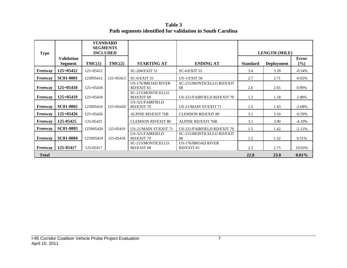**Table 3 Path segments identified for validation in South Carolina**

| <b>Type</b>  |                                     | <b>STANDARD</b><br><b>SEGMENTS</b><br><b>INCLUDED</b> |             |                                         |                                         | <b>LENGTH (MILE)</b> |                   |                     |  |
|--------------|-------------------------------------|-------------------------------------------------------|-------------|-----------------------------------------|-----------------------------------------|----------------------|-------------------|---------------------|--|
|              | <b>Validation</b><br><b>Segment</b> | TMC(1)                                                | TMC(2)      | <b>STARTING AT</b>                      | <b>ENDING AT</b>                        | <b>Standard</b>      | <b>Deployment</b> | <b>Error</b><br>(%) |  |
| Freeway      | $125+05412$                         | $125+05412$                                           |             | SC-204/EXIT 51                          | $SC-6/EXIT$ 55                          | 3.4                  | 3.39              | $-0.54%$            |  |
| Freeway      | <b>SC01-0001</b>                    | 125P05412                                             | $125+05413$ | $SC-6/EXIT$ 55                          | US- $1/EXIT$ 58                         | 2.7                  | 2.71              | $-0.02\%$           |  |
| Freeway      | $125+05418$                         | $125+05418$                                           |             | <b>US-176/BROAD RIVER</b><br>RD/EXIT 65 | SC-215/MONTICELLO RD/EXIT<br>68         | 2.6                  | 2.65              | 0.99%               |  |
| Freeway      | $125+05419$                         | $125+05419$                                           |             | SC-215/MONTICELLO<br>RD/EXIT 68         | US-321/FAIRFIELD RD/EXIT 70             | 1.2                  | 1.18              | 2.48%               |  |
| Freeway      | <b>SC01-0002</b>                    | 125P05419                                             | $125+05420$ | US-321/FAIRFIELD<br><b>RD/EXIT 70</b>   | US-21/MAIN ST/EXIT 71                   | 1.5                  | 1.43              | $-2.68%$            |  |
| Freeway      | $125+05426$                         | $125+05426$                                           |             | <b>ALPINE RD/EXIT 76B</b>               | <b>CLEMSON RD/EXIT 80</b>               | 3.1                  | 3.10              | $-0.59\%$           |  |
| Freeway      | 125-05425                           | 125-05425                                             |             | <b>CLEMSON RD/EXIT 80</b>               | <b>ALPINE RD/EXIT 76B</b>               | 3.1                  | 3.00              | $-4.10\%$           |  |
| Freeway      | <b>SC01-0003</b>                    | 125N05420                                             | 125-05419   | US-21/MAIN ST/EXIT 71                   | US-321/FAIRFIELD RD/EXIT 70             | 1.5                  | 1.42              | $-2.11%$            |  |
| Freeway      | <b>SC01-0004</b>                    | 125N05419                                             | 125-05418   | US-321/FAIRFIELD<br>RD/EXIT 70          | SC-215/MONTICELLO RD/EXIT<br>68         | 1.2                  | 1.32              | 9.51%               |  |
| Freeway      | 125-05417                           | 125-05417                                             |             | SC-215/MONTICELLO<br>RD/EXIT 68         | <b>US-176/BROAD RIVER</b><br>RD/EXIT 65 | 2.5                  | 2.75              | 10.03%              |  |
| <b>Total</b> |                                     |                                                       |             |                                         |                                         | 22.8                 | <b>23.0</b>       | 0.81%               |  |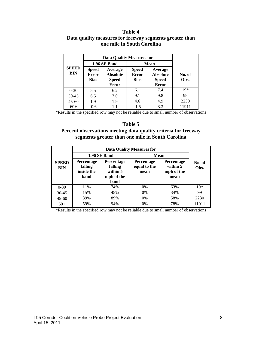#### **Table 4 Data quality measures for freeway segments greater than one mile in South Carolina**

|                            | <b>Data Quality Measures for</b>                                                                   |              |                                             |                                                            |                |  |
|----------------------------|----------------------------------------------------------------------------------------------------|--------------|---------------------------------------------|------------------------------------------------------------|----------------|--|
|                            |                                                                                                    | 1.96 SE Band | <b>Mean</b>                                 |                                                            |                |  |
| <b>SPEED</b><br><b>BIN</b> | Average<br><b>Speed</b><br>Error<br><b>Absolute</b><br><b>Bias</b><br><b>Speed</b><br><b>Error</b> |              | <b>Speed</b><br><b>Error</b><br><b>Bias</b> | Average<br><b>Absolute</b><br><b>Speed</b><br><b>Error</b> | No. of<br>Obs. |  |
| $0 - 30$                   | 5.5                                                                                                | 6.2          | 6.1                                         | 7.4                                                        | $19*$          |  |
| $30 - 45$                  | 6.5                                                                                                | 7.0          | 9.1                                         | 9.8                                                        | 99             |  |
| $45 - 60$                  | 1.9                                                                                                | 1.9          | 4.6                                         | 4.9                                                        | 2230           |  |
| $60+$                      | $-0.6$                                                                                             | 1.1          | $-1.5$                                      | 3.3                                                        | 11911          |  |

\*Results in the specified row may not be reliable due to small number of observations

#### **Table 5**

### **Percent observations meeting data quality criteria for freeway segments greater than one mile in South Carolina**

|                            |                                                                                                        | 1.96 SE Band | <b>Mean</b>                               |                                              |                |  |
|----------------------------|--------------------------------------------------------------------------------------------------------|--------------|-------------------------------------------|----------------------------------------------|----------------|--|
| <b>SPEED</b><br><b>BIN</b> | Percentage<br>Percentage<br>falling<br>falling<br>inside the<br>within 5<br>mph of the<br>band<br>band |              | <b>Percentage</b><br>equal to the<br>mean | Percentage<br>within 5<br>mph of the<br>mean | No. of<br>Obs. |  |
| $0 - 30$                   | 11%                                                                                                    | 74%          | 0%                                        | 63%                                          | $19*$          |  |
| $30 - 45$                  | 15%                                                                                                    | 45%          | 0%                                        | 34%                                          | 99             |  |
| $45 - 60$                  | 39%                                                                                                    | 89%          | $0\%$                                     | 58%                                          | 2230           |  |
| $60+$                      | 59%                                                                                                    | 94%          | 0%                                        | 78%                                          | 11911          |  |

\*Results in the specified row may not be reliable due to small number of observations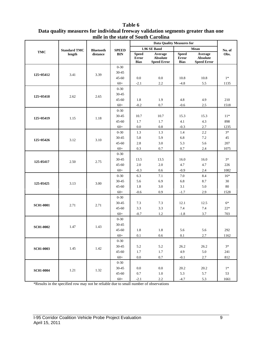| Table 6                                                                           |  |  |  |  |  |  |  |
|-----------------------------------------------------------------------------------|--|--|--|--|--|--|--|
| Data quality measures for individual freeway validation segments greater than one |  |  |  |  |  |  |  |
| mile in the state of South Carolina                                               |  |  |  |  |  |  |  |
|                                                                                   |  |  |  |  |  |  |  |

|                  |                     | <b>Bluetooth</b><br>distance |                            | <b>Data Quality Measures for</b>     |                                           |                                      |                                                  |          |
|------------------|---------------------|------------------------------|----------------------------|--------------------------------------|-------------------------------------------|--------------------------------------|--------------------------------------------------|----------|
|                  | <b>Standard TMC</b> |                              | <b>SPEED</b><br><b>BIN</b> |                                      | 1.96 SE Band                              |                                      | Mean                                             | No. of   |
| <b>TMC</b>       | length              |                              |                            | <b>Speed</b><br>Error<br><b>Bias</b> | Average<br>Absolute<br><b>Speed Error</b> | <b>Speed</b><br>Error<br><b>Bias</b> | Average<br><b>Absolute</b><br><b>Speed Error</b> | Obs.     |
|                  |                     |                              | $0 - 30$                   |                                      |                                           |                                      |                                                  |          |
| 125+05412        | 3.41                | 3.39                         | 30-45                      |                                      |                                           |                                      |                                                  |          |
|                  |                     |                              | $45 - 60$                  | 0.0                                  | 0.0                                       | 10.8                                 | 10.8                                             | $1*$     |
|                  |                     |                              | $60+$                      | $-2.1$                               | 2.2                                       | $-4.8$                               | 5.5                                              | 1135     |
|                  |                     |                              | $0 - 30$                   |                                      |                                           |                                      |                                                  |          |
| $125+05418$      | 2.62                | 2.65                         | 30-45                      |                                      |                                           |                                      |                                                  |          |
|                  |                     |                              | $45 - 60$                  | 1.8                                  | 1.9                                       | 4.8                                  | 4.9                                              | 210      |
|                  |                     |                              | $60+$                      | $-0.2$                               | $0.7\,$                                   | $-0.6$                               | 2.5                                              | 1518     |
|                  |                     |                              | $0 - 30$                   |                                      |                                           |                                      |                                                  |          |
| $125+05419$      | 1.15                | 1.18                         | 30-45                      | 10.7                                 | 10.7                                      | 15.3                                 | 15.3                                             | $11*$    |
|                  |                     |                              | $45 - 60$                  | 1.7                                  | 1.7                                       | 4.1                                  | 4.3                                              | 898      |
|                  |                     |                              | $60+$                      | $0.0\,$                              | $0.8\,$                                   | $-0.3$                               | 2.7                                              | 1235     |
|                  |                     |                              | $0 - 30$                   | 1.3                                  | 1.3                                       | 1.4                                  | 2.2                                              | $3*$     |
| 125+05426        | 3.12                | 3.10                         | 30-45                      | 5.8                                  | 5.9                                       | 6.8                                  | $7.2\,$                                          | 45       |
|                  |                     |                              | $45 - 60$                  | 2.8                                  | $3.0\,$                                   | 5.3                                  | 5.6                                              | 207      |
|                  |                     |                              | $60+$                      | 0.3                                  | 0.7                                       | 0.7                                  | 2.4                                              | 1075     |
|                  | 2.50                | 2.75                         | $0 - 30$                   |                                      |                                           |                                      |                                                  |          |
| 125-05417        |                     |                              | 30-45                      | 13.5                                 | 13.5                                      | 16.0                                 | 16.0                                             | $3*$     |
|                  |                     |                              | $45 - 60$                  | $2.0\,$                              | $2.0\,$                                   | 4.7                                  | 4.7                                              | 226      |
|                  |                     |                              | $60+$                      | $-0.3$                               | 0.6                                       | $-0.9$                               | 2.4                                              | 1082     |
|                  | 3.13                |                              | $0 - 30$                   | 6.3                                  | 7.1                                       | 7.0                                  | 8.4                                              | $16*$    |
| 125-05425        |                     | 3.00                         | 30-45                      | 5.6                                  | 6.9                                       | 6.8                                  | 8.7                                              | 30       |
|                  |                     |                              | $45 - 60$                  | 1.8                                  | $3.0\,$                                   | 3.1                                  | 5.0                                              | 80       |
|                  |                     |                              | $60+$                      | $-0.6$                               | 0.9                                       | $-1.7$                               | 2.9                                              | 1528     |
|                  |                     |                              | $0 - 30$                   |                                      |                                           |                                      |                                                  |          |
| <b>SC01-0001</b> | 2.71                | 2.71                         | 30-45                      | 7.3                                  | 7.3                                       | 12.1                                 | 12.5                                             | $6*$     |
|                  |                     |                              | $45 - 60$                  | 3.3                                  | 3.3                                       | 7.4                                  | 7.4                                              | $22\,^*$ |
|                  |                     |                              | $60+$                      | $-0.7$                               | $1.2\,$                                   | $-1.8$                               | 3.7                                              | 703      |
|                  |                     |                              | $0 - 30$                   |                                      |                                           |                                      |                                                  |          |
| <b>SC01-0002</b> | 1.47                | 1.43                         | 30-45                      |                                      |                                           |                                      |                                                  |          |
|                  |                     |                              | $45 - 60$                  | 1.8                                  | 1.8                                       | 5.6                                  | 5.6                                              | 292      |
|                  |                     |                              | $60+$                      | 0.1                                  | 0.6                                       | 0.1                                  | 2.7                                              | 1162     |
|                  |                     |                              | $0 - 30$                   |                                      |                                           |                                      |                                                  | $3*$     |
| <b>SC01-0003</b> | 1.45                | 1.42                         | $30 - 45$                  | 5.2                                  | 5.2                                       | 26.2<br>4.9                          | 26.2                                             |          |
|                  |                     |                              | $45 - 60$                  | 1.7                                  | 1.7                                       |                                      | 5.0                                              | 241      |
|                  |                     |                              | $60+$                      | 0.0                                  | $0.7\,$                                   | $-0.1$                               | 2.7                                              | 812      |
|                  |                     |                              | $0 - 30$<br>30-45          | 0.0                                  | $0.0\,$                                   | 20.2                                 | 20.2                                             | $1*$     |
| <b>SC01-0004</b> | 1.21                | 1.32                         | $45 - 60$                  |                                      |                                           | 5.3                                  | 5.7                                              | 53       |
|                  |                     |                              |                            | 0.7                                  | 1.0                                       |                                      |                                                  |          |
|                  |                     |                              | $60+$                      | $-2.1$                               | $2.2\,$                                   | $-4.7$                               | 5.3                                              | 1661     |

\*Results in the specified row may not be reliable due to small number of observations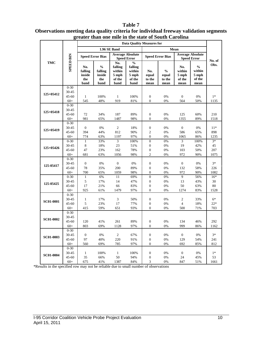#### **Data Quality Measures for 1.96 SE Band Mean Speed Error Bias Average Absolute Speed Error Speed Error Speed Error Bias Average Absolute SPEED BIN SPEED BIN Speed Error No. of TMC No.**   $\frac{6}{6}$ **Obs. % falling falling**   $\frac{6}{6}$ **No. No. falling falling within % within within within No. inside inside 5 mph 5 mph equal equal 5 mph 5 mph the the of the of the to the to the of the of the band band band band mean mean mean mean** 0-30 30-45<br>45-60 **125+05412** 45-60 1 100% 1 100% 0 0% 0 0% 1<sup>\*</sup> 60+ 545 48% 919 81% 0 0% 564 50% 1135 0-30 30-45 **125+05418** 45-60 72 34% 187 89% 0 0% 125 60% 210 60+ 981 65% 1487 98% 0 0% 1355 89% 1518 0-30 30-45 0 0% 2 18% 0 0% 0 0% 11\* **125+05419** 45-60 394 44% 812 90% 2 0% 586 65% 898 60+ 774 63% 1197 97% 0 0% 1065 86% 1235  $0-30$  1 33% 3 100% 0 0% 3 100% 3<sup>\*</sup> 30-45 8 18% 23 51% 0 0% 19 42% 45 **125+05426** 45-60 47 23% 162 78% 0 0% 103 50% 207 60+ 681 63% 1056 98% 2 0% 972 90% 1075  $0-30$ <br>30-45 30-45 0 0% 0 0% 0 0% 0 0% 3\* **125-05417** 45-60 78 35% 200 89% 0 0% 132 58% 226 60+ 700 65% 1059 98% 0 0% 972 90% 1082 0-30 1 6% 11 69% 0 0% 9 56% 16\* 30-45 5 17% 14 47% 0 0% 13 43% 30 **125-05425** 45-60 17 21% 66 83% 0 0% 50 63% 80 60+ 925 61% 1479 97% 0 0% 1274 83% 1528 0-30 30-45 1 17% 3 50% 0 0% 2 33% 6\* **SC01-0001** 45-60 5 23% 17 77% 0 0% 4 18% 22\* 60+ 415 59% 651 93% 0 0% 500 71% 703 0-30 30-45<br>45-60 **SC01-0002** 45-60 120 41% 261 89% 0 0% 134 46% 292 60+ 803 69% 1128 97% 0 0% 999 86% 1162  $0 - 30$ 30-45 0 0% 2 67% 0 0% 0 0% 3\* **SC01-0003** 45-60 97 40% 220 91% 0 0% 129 54% 241 60+ 560 69% 785 97% 0 0% 692 85% 812 0-30 30-45 1 100% 1 100% 0 0% 0 0% 1\* **SC01-0004** 45-60 35 66% 50 94% 0 0% 24 45% 53

60+ 675 41% 1387 84% 3 0% 847 51% 1661

#### **Table 7 Observations meeting data quality criteria for individual freeway validation segments greater than one mile in the state of South Carolina**

\*Results in the specified row may not be reliable due to small number of observations